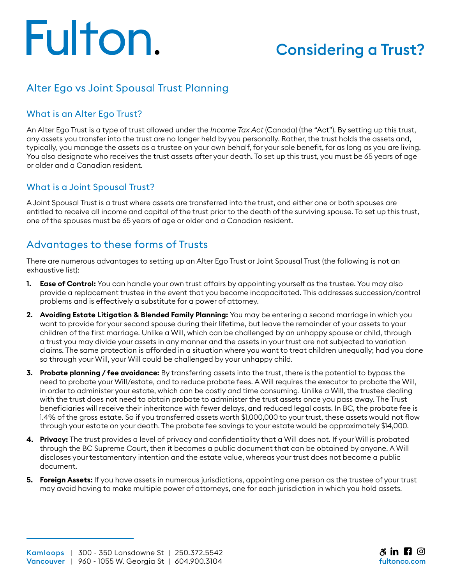# Fulton.

# Considering a Trust?

## Alter Ego vs Joint Spousal Trust Planning

#### What is an Alter Ego Trust?

An Alter Ego Trust is a type of trust allowed under the *Income Tax Act* (Canada) (the "Act"). By setting up this trust, any assets you transfer into the trust are no longer held by you personally. Rather, the trust holds the assets and, typically, you manage the assets as a trustee on your own behalf, for your sole benefit, for as long as you are living. You also designate who receives the trust assets after your death. To set up this trust, you must be 65 years of age or older and a Canadian resident.

#### What is a Joint Spousal Trust?

A Joint Spousal Trust is a trust where assets are transferred into the trust, and either one or both spouses are entitled to receive all income and capital of the trust prior to the death of the surviving spouse. To set up this trust, one of the spouses must be 65 years of age or older and a Canadian resident.

### Advantages to these forms of Trusts

There are numerous advantages to setting up an Alter Ego Trust or Joint Spousal Trust (the following is not an exhaustive list):

- **1. Ease of Control:** You can handle your own trust affairs by appointing yourself as the trustee. You may also provide a replacement trustee in the event that you become incapacitated. This addresses succession/control problems and is effectively a substitute for a power of attorney.
- **2. Avoiding Estate Litigation & Blended Family Planning:** You may be entering a second marriage in which you want to provide for your second spouse during their lifetime, but leave the remainder of your assets to your children of the first marriage. Unlike a Will, which can be challenged by an unhappy spouse or child, through a trust you may divide your assets in any manner and the assets in your trust are not subjected to variation claims. The same protection is afforded in a situation where you want to treat children unequally; had you done so through your Will, your Will could be challenged by your unhappy child.
- **3. Probate planning / fee avoidance:** By transferring assets into the trust, there is the potential to bypass the need to probate your Will/estate, and to reduce probate fees. A Will requires the executor to probate the Will, in order to administer your estate, which can be costly and time consuming. Unlike a Will, the trustee dealing with the trust does not need to obtain probate to administer the trust assets once you pass away. The Trust beneficiaries will receive their inheritance with fewer delays, and reduced legal costs. In BC, the probate fee is 1.4% of the gross estate. So if you transferred assets worth \$1,000,000 to your trust, these assets would not flow through your estate on your death. The probate fee savings to your estate would be approximately \$14,000.
- **4. Privacy:** The trust provides a level of privacy and confidentiality that a Will does not. If your Will is probated through the BC Supreme Court, then it becomes a public document that can be obtained by anyone. A Will discloses your testamentary intention and the estate value, whereas your trust does not become a public document.
- **5. Foreign Assets:** If you have assets in numerous jurisdictions, appointing one person as the trustee of your trust may avoid having to make multiple power of attorneys, one for each jurisdiction in which you hold assets.